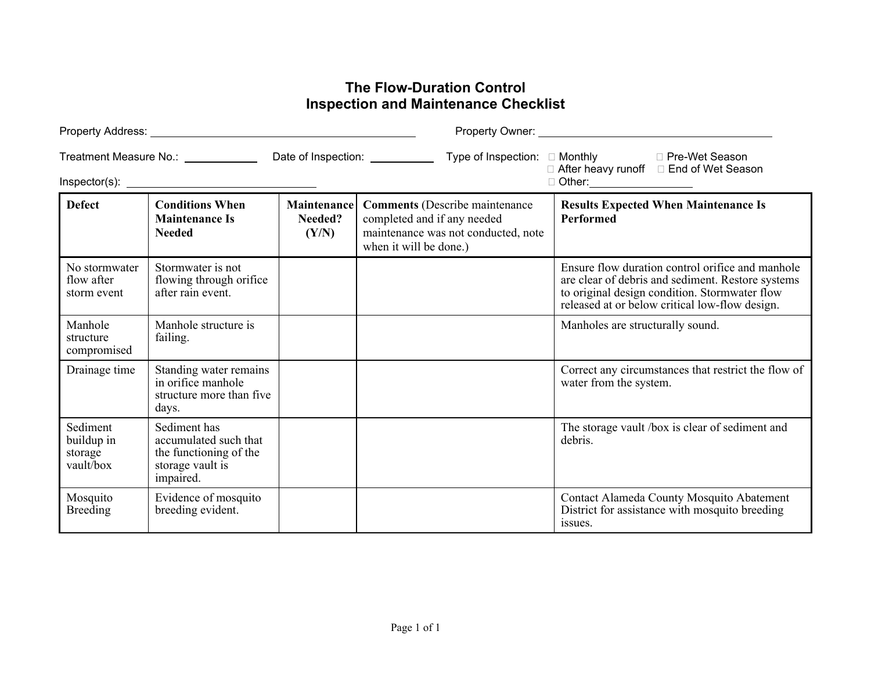## **The Flow-Duration Control Inspection and Maintenance Checklist**

| Treatment Measure No.: _____________           |                                                                                                  |                                 | Date of Inspection: ___________<br>Type of Inspection: □ Monthly                                                                      | □ Monthly      □ Pre-Wet Season<br>□ After heavy runoff   □ End of Wet Season<br>□ Other:___________________                                                                                             |
|------------------------------------------------|--------------------------------------------------------------------------------------------------|---------------------------------|---------------------------------------------------------------------------------------------------------------------------------------|----------------------------------------------------------------------------------------------------------------------------------------------------------------------------------------------------------|
| <b>Defect</b>                                  | <b>Conditions When</b><br><b>Maintenance Is</b><br><b>Needed</b>                                 | Maintenance<br>Needed?<br>(Y/N) | <b>Comments</b> (Describe maintenance<br>completed and if any needed<br>maintenance was not conducted, note<br>when it will be done.) | <b>Results Expected When Maintenance Is</b><br><b>Performed</b>                                                                                                                                          |
| No stormwater<br>flow after<br>storm event     | Stormwater is not<br>flowing through orifice<br>after rain event.                                |                                 |                                                                                                                                       | Ensure flow duration control orifice and manhole<br>are clear of debris and sediment. Restore systems<br>to original design condition. Stormwater flow<br>released at or below critical low-flow design. |
| Manhole<br>structure<br>compromised            | Manhole structure is<br>failing.                                                                 |                                 |                                                                                                                                       | Manholes are structurally sound.                                                                                                                                                                         |
| Drainage time                                  | Standing water remains<br>in orifice manhole<br>structure more than five<br>days.                |                                 |                                                                                                                                       | Correct any circumstances that restrict the flow of<br>water from the system.                                                                                                                            |
| Sediment<br>buildup in<br>storage<br>vault/box | Sediment has<br>accumulated such that<br>the functioning of the<br>storage vault is<br>impaired. |                                 |                                                                                                                                       | The storage vault /box is clear of sediment and<br>debris.                                                                                                                                               |
| Mosquito<br><b>Breeding</b>                    | Evidence of mosquito<br>breeding evident.                                                        |                                 |                                                                                                                                       | Contact Alameda County Mosquito Abatement<br>District for assistance with mosquito breeding<br>issues.                                                                                                   |